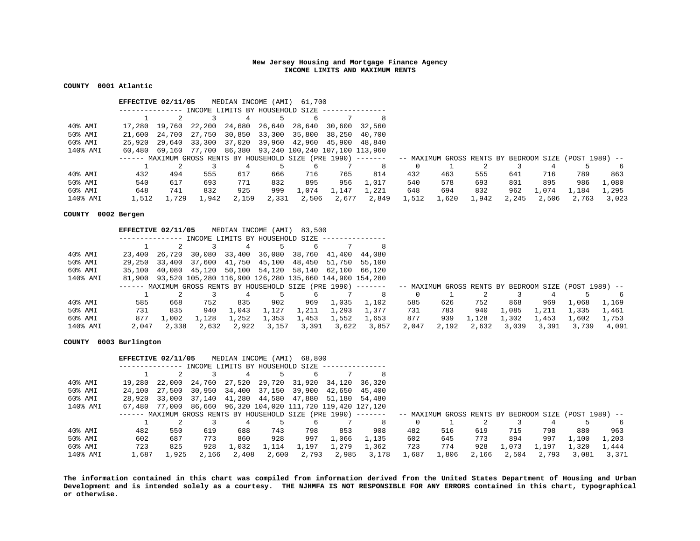**COUNTY 0001 Atlantic** 

|                   | EFFECTIVE 02/11/05 |        |        | MEDIAN INCOME (AMI)             |       | 61,700                                                            |       |                                                                                                                        |       |       |       |       |       |       |       |
|-------------------|--------------------|--------|--------|---------------------------------|-------|-------------------------------------------------------------------|-------|------------------------------------------------------------------------------------------------------------------------|-------|-------|-------|-------|-------|-------|-------|
|                   |                    |        |        | INCOME LIMITS BY HOUSEHOLD SIZE |       |                                                                   |       |                                                                                                                        |       |       |       |       |       |       |       |
|                   |                    |        |        |                                 |       |                                                                   |       | 8                                                                                                                      |       |       |       |       |       |       |       |
| $40\,$ % $\,$ AMI | 17,280             | 19,760 |        | 22,200 24,680 26,640            |       | 28,640 30,600                                                     |       | 32,560                                                                                                                 |       |       |       |       |       |       |       |
| 50% AMI           | 21,600             | 24,700 | 27,750 | 30,850 33,300                   |       | 35,800 38,250                                                     |       | 40.700                                                                                                                 |       |       |       |       |       |       |       |
| 60% AMI           | 25,920             |        |        |                                 |       | 29,640 33,300 37,020 39,960 42,960 45,900                         |       | 48,840                                                                                                                 |       |       |       |       |       |       |       |
| 140% AMI          |                    |        |        |                                 |       | 60,480  69,160  77,700  86,380  93,240  100,240  107,100  113,960 |       |                                                                                                                        |       |       |       |       |       |       |       |
|                   |                    |        |        |                                 |       |                                                                   |       | ------ MAXIMUM GROSS RENTS BY HOUSEHOLD SIZE (PRE 1990) ------- - - MAXIMUM GROSS RENTS BY BEDROOM SIZE (POST 1989) -- |       |       |       |       |       |       |       |
|                   |                    |        |        |                                 |       |                                                                   |       | 8                                                                                                                      | 0     |       |       |       |       |       |       |
| 40% AMI           | 432                | 494    | 555    | 617                             | 666   | 716                                                               | 765   | 814                                                                                                                    | 432   | 463   | 555   | 641   | 716   | 789   | 863   |
| 50% AMI           | 540                | 617    | 693    | 771                             | 832   | 895                                                               | 956   | 1,017                                                                                                                  | 540   | 578   | 693   | 801   | 895   | 986   | 1,080 |
| 60% AMI           | 648                | 741    | 832    | 925                             | 999   | 1,074                                                             | 1,147 | 1,221                                                                                                                  | 648   | 694   | 832   | 962   | 1,074 | 1,184 | 1,295 |
| 140% AMI          | 1,512              | 1,729  | 1,942  | 2,159                           | 2,331 | 2,506                                                             | 2,677 | 2,849                                                                                                                  | 1,512 | 1,620 | 1,942 | 2,245 | 2,506 | 2,763 | 3,023 |

**COUNTY 0002 Bergen** 

|            | EFFECTIVE 02/11/05 |        |       | MEDIAN INCOME                   | (AMI) | 83,500                                                               |               |               |       |       |       |       |       |                                                       |       |
|------------|--------------------|--------|-------|---------------------------------|-------|----------------------------------------------------------------------|---------------|---------------|-------|-------|-------|-------|-------|-------------------------------------------------------|-------|
|            |                    |        |       | INCOME LIMITS BY HOUSEHOLD SIZE |       |                                                                      |               |               |       |       |       |       |       |                                                       |       |
|            |                    |        |       |                                 |       |                                                                      |               |               |       |       |       |       |       |                                                       |       |
| 40% AMI    | 23,400             | 26,720 |       | 30,080 33,400                   |       | 36,080 38,760                                                        | 41,400 44,080 |               |       |       |       |       |       |                                                       |       |
| 50% AMI    | 29,250             | 33,400 |       | 37,600 41,750 45,100 48,450     |       |                                                                      |               | 51,750 55,100 |       |       |       |       |       |                                                       |       |
| 60% AMI    | 35,100             |        |       | 40,080 45,120 50,100            |       | 54,120 58,140                                                        | 62,100 66,120 |               |       |       |       |       |       |                                                       |       |
| 140% AMI   |                    |        |       |                                 |       | 81,900  93,520  105,280  116,900  126,280  135,660  144,900  154,280 |               |               |       |       |       |       |       |                                                       |       |
|            |                    |        |       |                                 |       | ------ MAXIMUM GROSS RENTS BY HOUSEHOLD SIZE (PRE 1990) -------      |               |               |       |       |       |       |       | -- MAXIMUM GROSS RENTS BY BEDROOM SIZE (POST 1989) -- |       |
|            |                    |        |       | 4                               |       |                                                                      |               | 8             |       |       |       |       |       |                                                       | 6     |
| $40\%$ AMI | 585                | 668    | 752   | 835                             | 902   | 969                                                                  | 1,035         | 1,102         | 585   | 626   | 752   | 868   | 969   | 1,068                                                 | 1,169 |
| 50% AMI    | 731                | 835    | 940   | 1,043                           | 1,127 | 1,211                                                                | 1,293         | 1,377         | 731   | 783   | 940   | 1,085 | 1,211 | 1,335                                                 | 1,461 |
| 60% AMI    | 877                | 1,002  | 1,128 | 1,252                           | 1,353 | 1,453                                                                | 1,552         | 1,653         | 877   | 939   | 1,128 | 1,302 | 1,453 | 1,602                                                 | 1,753 |
| 140% AMI   | 2,047              | 2,338  | 2,632 | 2,922                           | 3,157 | 3,391                                                                | 3,622         | 3,857         | 2,047 | 2,192 | 2,632 | 3,039 | 3,391 | 3,739                                                 | 4,091 |

# **COUNTY 0003 Burlington**

|                   | EFFECTIVE 02/11/05 |        |                                 | MEDIAN INCOME (AMI) |        | 68,800                                                      |        |                                                                                                                       |       |       |       |       |       |       |       |
|-------------------|--------------------|--------|---------------------------------|---------------------|--------|-------------------------------------------------------------|--------|-----------------------------------------------------------------------------------------------------------------------|-------|-------|-------|-------|-------|-------|-------|
|                   |                    |        | INCOME LIMITS BY HOUSEHOLD SIZE |                     |        |                                                             |        |                                                                                                                       |       |       |       |       |       |       |       |
|                   |                    |        |                                 |                     |        |                                                             |        | 8                                                                                                                     |       |       |       |       |       |       |       |
| 40% AMI           | 19,280             | 22,000 | 24,760                          | 27,520              | 29,720 | 31,920 34,120                                               |        | 36,320                                                                                                                |       |       |       |       |       |       |       |
| 50% AMI           | 24,100             | 27,500 | 30,950 34,400 37,150 39,900     |                     |        |                                                             | 42,650 | 45,400                                                                                                                |       |       |       |       |       |       |       |
| 60% AMI           | 28,920             | 33,000 |                                 |                     |        | 37,140 41,280 44,580 47,880 51,180                          |        | 54.480                                                                                                                |       |       |       |       |       |       |       |
| 140% AMI          |                    |        |                                 |                     |        | 67,480 77,000 86,660 96,320 104,020 111,720 119,420 127,120 |        |                                                                                                                       |       |       |       |       |       |       |       |
|                   |                    |        |                                 |                     |        |                                                             |        | ------ MAXIMUM GROSS RENTS BY HOUSEHOLD SIZE (PRE 1990) ------- -- MAXIMUM GROSS RENTS BY BEDROOM SIZE (POST 1989) -- |       |       |       |       |       |       |       |
|                   |                    |        |                                 |                     |        |                                                             |        | 8                                                                                                                     | 0     |       |       |       |       |       |       |
| $40\,$ % $\,$ AMI | 482                | 550    | 619                             | 688                 | 743    | 798                                                         | 853    | 908                                                                                                                   | 482   | 516   | 619   | 715   | 798   | 880   | 963   |
| 50% AMI           | 602                | 687    | 773                             | 860                 | 928    | 997                                                         | 1,066  | 1,135                                                                                                                 | 602   | 645   | 773   | 894   | 997   | 1,100 | 1,203 |
| 60% AMI           | 723                | 825    | 928                             | 1,032               | 1,114  | 1,197                                                       | 1,279  | 1,362                                                                                                                 | 723   | 774   | 928   | 1,073 | 1,197 | 1,320 | 1,444 |
| 140% AMI          | 1,687              | 1,925  | 2,166                           | 2,408               | 2,600  | 2,793                                                       | 2,985  | 3,178                                                                                                                 | 1,687 | 1,806 | 2,166 | 2,504 | 2,793 | 3,081 | 3,371 |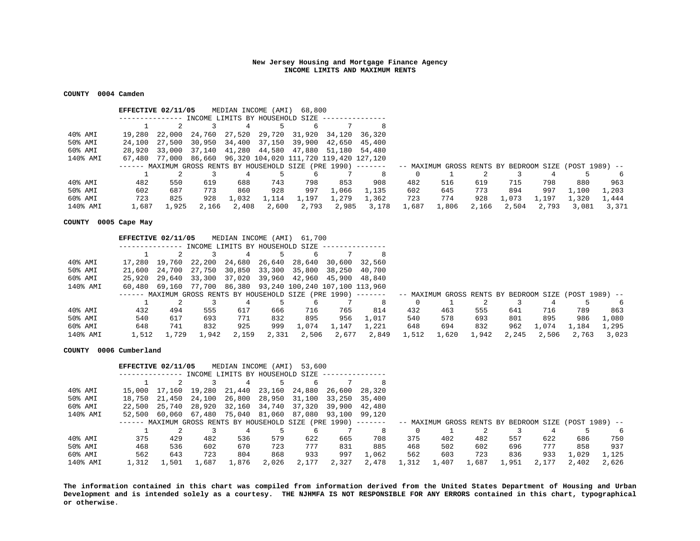## **COUNTY 0004 Camden**

|          | EFFECTIVE 02/11/05                                                                                                    |        |                                 | MEDIAN INCOME (AMI) |       | 68,800                                                      |        |        |       |       |       |       |       |       |       |
|----------|-----------------------------------------------------------------------------------------------------------------------|--------|---------------------------------|---------------------|-------|-------------------------------------------------------------|--------|--------|-------|-------|-------|-------|-------|-------|-------|
|          |                                                                                                                       |        | INCOME LIMITS BY HOUSEHOLD SIZE |                     |       |                                                             |        |        |       |       |       |       |       |       |       |
|          |                                                                                                                       |        |                                 |                     |       |                                                             |        | 8      |       |       |       |       |       |       |       |
| 40% AMI  | 19,280                                                                                                                | 22,000 | 24,760                          | 27,520 29,720       |       | 31,920 34,120                                               |        | 36,320 |       |       |       |       |       |       |       |
| 50% AMI  | 24,100                                                                                                                | 27,500 |                                 |                     |       | 30,950 34,400 37,150 39,900                                 | 42,650 | 45.400 |       |       |       |       |       |       |       |
| 60% AMI  | 28,920                                                                                                                |        |                                 |                     |       | 33,000 37,140 41,280 44,580 47,880 51,180                   |        | 54,480 |       |       |       |       |       |       |       |
| 140% AMI |                                                                                                                       |        |                                 |                     |       | 67,480 77,000 86,660 96,320 104,020 111,720 119,420 127,120 |        |        |       |       |       |       |       |       |       |
|          | ------ MAXIMUM GROSS RENTS BY HOUSEHOLD SIZE (PRE 1990) ------- -- MAXIMUM GROSS RENTS BY BEDROOM SIZE (POST 1989) -- |        |                                 |                     |       |                                                             |        |        |       |       |       |       |       |       |       |
|          |                                                                                                                       |        |                                 |                     |       |                                                             |        | 8      | 0     |       |       |       |       |       |       |
| 40% AMI  | 482                                                                                                                   | 550    | 619                             | 688                 | 743   | 798                                                         | 853    | 908    | 482   | 516   | 619   | 715   | 798   | 880   | 963   |
| 50% AMI  | 602                                                                                                                   | 687    | 773                             | 860                 | 928   | 997                                                         | 1,066  | 1,135  | 602   | 645   | 773   | 894   | 997   | 1,100 | 1,203 |
| 60% AMI  | 723                                                                                                                   | 825    | 928                             | 1,032               | 1,114 | 1,197                                                       | 1,279  | 1,362  | 723   | 774   | 928   | 1,073 | 1,197 | 1,320 | 1,444 |
| 140% AMI | 1,687                                                                                                                 | 1,925  | 2,166                           | 2,408               | 2,600 | 2,793                                                       | 2,985  | 3,178  | 1,687 | 1,806 | 2,166 | 2,504 | 2,793 | 3,081 | 3,371 |

# **COUNTY 0005 Cape May**

|          | EFFECTIVE 02/11/05                                                                                                    |        |       |                                 |       | MEDIAN INCOME (AMI) 61,700                                        |       |        |          |       |       |       |       |       |       |
|----------|-----------------------------------------------------------------------------------------------------------------------|--------|-------|---------------------------------|-------|-------------------------------------------------------------------|-------|--------|----------|-------|-------|-------|-------|-------|-------|
|          |                                                                                                                       |        |       | INCOME LIMITS BY HOUSEHOLD SIZE |       |                                                                   |       |        |          |       |       |       |       |       |       |
|          |                                                                                                                       |        |       |                                 |       |                                                                   |       | 8      |          |       |       |       |       |       |       |
| 40% AMI  | 17,280                                                                                                                | 19,760 |       |                                 |       | 22,200 24,680 26,640 28,640 30,600                                |       | 32,560 |          |       |       |       |       |       |       |
| 50% AMI  | 21,600                                                                                                                |        |       |                                 |       | 24,700 27,750 30,850 33,300 35,800 38,250                         |       | 40,700 |          |       |       |       |       |       |       |
| 60% AMI  | 25,920                                                                                                                |        |       |                                 |       | 29,640 33,300 37,020 39,960 42,960 45,900 48,840                  |       |        |          |       |       |       |       |       |       |
| 140% AMI |                                                                                                                       |        |       |                                 |       | 60,480  69,160  77,700  86,380  93,240  100,240  107,100  113,960 |       |        |          |       |       |       |       |       |       |
|          | ------ MAXIMUM GROSS RENTS BY HOUSEHOLD SIZE (PRE 1990) ------- -- MAXIMUM GROSS RENTS BY BEDROOM SIZE (POST 1989) -- |        |       |                                 |       |                                                                   |       |        |          |       |       |       |       |       |       |
|          |                                                                                                                       |        |       |                                 |       |                                                                   |       | 8      | $\Omega$ |       |       |       |       |       |       |
| 40% AMI  | 432                                                                                                                   | 494    | 555   | 617                             | 666   | 716                                                               | 765   | 814    | 432      | 463   | 555   | 641   | 716   | 789   | 863   |
| 50% AMI  | 540                                                                                                                   | 617    | 693   | 771                             | 832   | 895                                                               | 956   | 1,017  | 540      | 578   | 693   | 801   | 895   | 986   | 1,080 |
| 60% AMI  | 648                                                                                                                   | 741    | 832   | 925                             | 999   | 1,074                                                             | 1,147 | 1,221  | 648      | 694   | 832   | 962   | 1,074 | 1,184 | 1,295 |
| 140% AMI | 1,512                                                                                                                 | .,729  | 1,942 | 2,159                           | 2,331 | 2,506                                                             | 2,677 | 2,849  | 1,512    | 1,620 | 1,942 | 2,245 | 2,506 | 2,763 | 3.023 |

## **COUNTY 0006 Cumberland**

|          | EFFECTIVE 02/11/05 |        |                                 | MEDIAN INCOME (AMI) |       | 53,600                                                                                                                  |               |       |       |       |       |       |       |       |       |
|----------|--------------------|--------|---------------------------------|---------------------|-------|-------------------------------------------------------------------------------------------------------------------------|---------------|-------|-------|-------|-------|-------|-------|-------|-------|
|          |                    |        | INCOME LIMITS BY HOUSEHOLD SIZE |                     |       |                                                                                                                         |               |       |       |       |       |       |       |       |       |
|          |                    |        |                                 | 4                   |       | b                                                                                                                       |               | 8     |       |       |       |       |       |       |       |
| 40% AMI  | 15,000             | 17,160 | 19,280                          | 21,440              |       | 23,160 24,880                                                                                                           | 26,600 28,320 |       |       |       |       |       |       |       |       |
| 50% AMI  | 18,750             | 21,450 | 24,100                          | 26,800              |       | 28,950 31,100                                                                                                           | 33,250 35,400 |       |       |       |       |       |       |       |       |
| 60% AMI  | 22,500             | 25,740 |                                 |                     |       | 28,920 32,160 34,740 37,320                                                                                             | 39,900 42,480 |       |       |       |       |       |       |       |       |
| 140% AMI | 52,500             | 60,060 |                                 |                     |       | 67,480 75,040 81,060 87,080                                                                                             | 93,100 99,120 |       |       |       |       |       |       |       |       |
|          |                    |        |                                 |                     |       | ------ MAXIMUM GROSS RENTS BY HOUSEHOLD SIZE (PRE 1990) -------   -- MAXIMUM GROSS RENTS BY BEDROOM SIZE (POST 1989) -- |               |       |       |       |       |       |       |       |       |
|          |                    |        |                                 |                     |       |                                                                                                                         |               | 8     |       |       |       |       |       |       | 6     |
| 40% AMI  | 375                | 429    | 482                             | 536                 | 579   | 622                                                                                                                     | 665           | 708   | 375   | 402   | 482   | 557   | 622   | 686   | 750   |
| 50% AMI  | 468                | 536    | 602                             | 670                 | 723   | 777                                                                                                                     | 831           | 885   | 468   | 502   | 602   | 696   | 777   | 858   | 937   |
| 60% AMI  | 562                | 643    | 723                             | 804                 | 868   | 933                                                                                                                     | 997           | 1,062 | 562   | 603   | 723   | 836   | 933   | 1,029 | 1,125 |
| 140% AMI | 1,312              | 1,501  | 1,687                           | 1,876               | 2,026 | 2,177                                                                                                                   | 2,327         | 2,478 | 1,312 | 1,407 | 1,687 | 1,951 | 2,177 | 2,402 | 2,626 |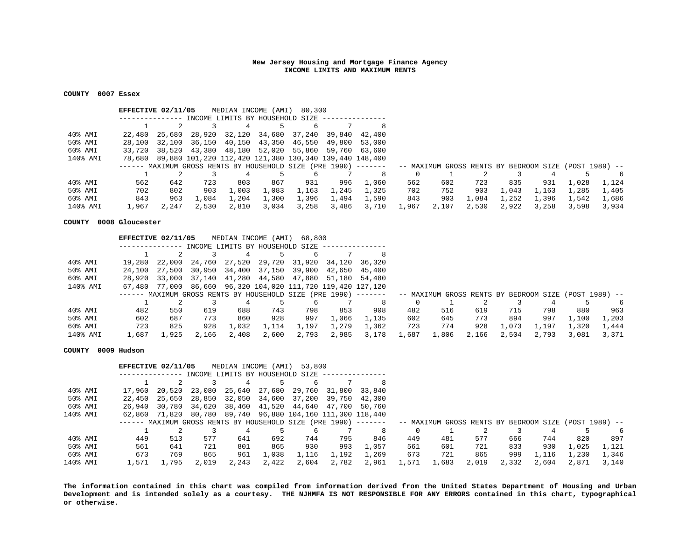## **COUNTY 0007 Essex**

|                            | EFFECTIVE 02/11/05                                               |        |       | MEDIAN INCOME (AMI)             |       | 80,300                                                        |       |               |       |       |       |                                                       |       |       |       |
|----------------------------|------------------------------------------------------------------|--------|-------|---------------------------------|-------|---------------------------------------------------------------|-------|---------------|-------|-------|-------|-------------------------------------------------------|-------|-------|-------|
|                            |                                                                  |        |       | INCOME LIMITS BY HOUSEHOLD SIZE |       |                                                               |       |               |       |       |       |                                                       |       |       |       |
|                            |                                                                  |        |       |                                 |       |                                                               |       | 8             |       |       |       |                                                       |       |       |       |
| 40% AMI                    | 22,480 25,680                                                    |        |       |                                 |       | 28,920 32,120 34,680 37,240                                   |       | 39,840 42,400 |       |       |       |                                                       |       |       |       |
| 50% AMI                    | 28,100                                                           | 32,100 |       |                                 |       | 36,150 40,150 43,350 46,550                                   |       | 49,800 53,000 |       |       |       |                                                       |       |       |       |
| 60% AMI                    | 33,720                                                           |        |       |                                 |       | 38,520 43,380 48,180 52,020 55,860                            |       | 59,760 63,600 |       |       |       |                                                       |       |       |       |
| 140% AMI                   |                                                                  |        |       |                                 |       | 78,680 89,880 101,220 112,420 121,380 130,340 139,440 148,400 |       |               |       |       |       |                                                       |       |       |       |
|                            | $-----$ MAXIMUM GROSS RENTS BY HOUSEHOLD SIZE (PRE 1990) $-----$ |        |       |                                 |       |                                                               |       |               |       |       |       | -- MAXIMUM GROSS RENTS BY BEDROOM SIZE (POST 1989) -- |       |       |       |
|                            |                                                                  |        |       |                                 |       |                                                               |       | 8             |       |       |       |                                                       |       |       | 6     |
| $40\text{\textdegree}$ AMI | 562                                                              | 642    | 723   | 803                             | 867   | 931                                                           | 996   | 1,060         | 562   | 602   | 723   | 835                                                   | 931   | 1,028 | 1,124 |
| 50% AMI                    | 702                                                              | 802    | 903   | 1,003                           | 1,083 | 1,163                                                         | 1,245 | 1,325         | 702   | 752   | 903   | 1,043                                                 | 1,163 | 1,285 | 1,405 |
| 60% AMI                    | 843                                                              | 963    | 1,084 | 1,204                           | 1,300 | 1,396                                                         | 1,494 | 1,590         | 843   | 903   | 1,084 | 1,252                                                 | 1,396 | 1,542 | 1,686 |
| 140% AMI                   | 1,967                                                            | 2,247  | 2,530 | 2,810                           | 3,034 | 3,258                                                         | 3,486 | 3,710         | 1,967 | 2,107 | 2,530 | 2,922                                                 | 3,258 | 3,598 | 3,934 |

#### **COUNTY 0008 Gloucester**

|                            | EFFECTIVE 02/11/05 |        |       |       |       | MEDIAN INCOME (AMI) 68,800                                  |       |                                                                                                                         |       |       |       |       |       |       |       |
|----------------------------|--------------------|--------|-------|-------|-------|-------------------------------------------------------------|-------|-------------------------------------------------------------------------------------------------------------------------|-------|-------|-------|-------|-------|-------|-------|
|                            |                    |        |       |       |       | INCOME LIMITS BY HOUSEHOLD SIZE                             |       |                                                                                                                         |       |       |       |       |       |       |       |
|                            |                    |        |       |       |       |                                                             |       |                                                                                                                         |       |       |       |       |       |       |       |
| 40% AMI                    | 19,280             | 22,000 |       |       |       | 24,760 27,520 29,720 31,920                                 |       | 34,120 36,320                                                                                                           |       |       |       |       |       |       |       |
| 50% AMI                    | 24,100             | 27,500 |       |       |       | 30,950 34,400 37,150 39,900                                 |       | 42,650 45,400                                                                                                           |       |       |       |       |       |       |       |
| 60% AMI                    | 28,920             | 33,000 |       |       |       | 37,140 41,280 44,580 47,880                                 |       | 51,180 54,480                                                                                                           |       |       |       |       |       |       |       |
| 140% AMI                   |                    |        |       |       |       | 67,480 77,000 86,660 96,320 104,020 111,720 119,420 127,120 |       |                                                                                                                         |       |       |       |       |       |       |       |
|                            |                    |        |       |       |       |                                                             |       | ------ MAXIMUM GROSS RENTS BY HOUSEHOLD SIZE (PRE 1990) -------   -- MAXIMUM GROSS RENTS BY BEDROOM SIZE (POST 1989) -- |       |       |       |       |       |       |       |
|                            |                    |        |       |       |       |                                                             |       | 8                                                                                                                       |       |       |       |       |       |       | 6     |
| $40\text{\textdegree}$ AMI | 482                | 550    | 619   | 688   | 743   | 798                                                         | 853   | 908                                                                                                                     | 482   | 516   | 619   | 715   | 798   | 880   | 963   |
| 50% AMI                    | 602                | 687    | 773   | 860   | 928   | 997                                                         | 1,066 | 1,135                                                                                                                   | 602   | 645   | 773   | 894   | 997   | 1,100 | 1,203 |
| 60% AMI                    | 723                | 825    | 928   | 1,032 | 1,114 | 1,197                                                       | 1,279 | 1,362                                                                                                                   | 723   | 774   | 928   | 1,073 | 1,197 | 1,320 | 1,444 |
| 140% AMI                   | 1,687              | 1,925  | 2,166 | 2,408 | 2,600 | 2,793                                                       | 2,985 | 3,178                                                                                                                   | 1,687 | 1,806 | 2,166 | 2,504 | 2,793 | 3,081 | 3,371 |

## **COUNTY 0009 Hudson**

|          |                     | EFFECTIVE 02/11/05                                              |        |       | MEDIAN INCOME                   | (AMI) | 53,800                                       |       |               |       |                                                       |       |       |       |       |       |
|----------|---------------------|-----------------------------------------------------------------|--------|-------|---------------------------------|-------|----------------------------------------------|-------|---------------|-------|-------------------------------------------------------|-------|-------|-------|-------|-------|
|          |                     |                                                                 |        |       | INCOME LIMITS BY HOUSEHOLD SIZE |       |                                              |       |               |       |                                                       |       |       |       |       |       |
|          |                     |                                                                 |        |       |                                 |       | 6                                            |       | 8             |       |                                                       |       |       |       |       |       |
|          | $40\textdegree$ AMI | 17,960                                                          | 20,520 |       | 23,080 25,640                   |       | 27,680 29,760                                |       | 31,800 33,840 |       |                                                       |       |       |       |       |       |
|          | 50% AMI             | 22,450                                                          | 25,650 |       | 28,850 32,050                   |       | 34,600 37,200                                |       | 39,750 42,300 |       |                                                       |       |       |       |       |       |
|          | 60% AMI             | 26,940 30,780                                                   |        |       |                                 |       | 34,620 38,460 41,520 44,640 47,700 50,760    |       |               |       |                                                       |       |       |       |       |       |
| 140% AMI |                     | 62,860 71,820                                                   |        |       |                                 |       | 80,780 89,740 96,880 104,160 111,300 118,440 |       |               |       |                                                       |       |       |       |       |       |
|          |                     | ------ MAXIMUM GROSS RENTS BY HOUSEHOLD SIZE (PRE 1990) ------- |        |       |                                 |       |                                              |       |               |       | -- MAXIMUM GROSS RENTS BY BEDROOM SIZE (POST 1989) -- |       |       |       |       |       |
|          |                     |                                                                 |        |       |                                 |       |                                              |       | 8             |       |                                                       |       |       |       |       | 6     |
|          | 40% AMI             | 449                                                             | 513    | 577   | 641                             | 692   | 744                                          | 795   | 846           | 449   | 481                                                   | 577   | 666   | 744   | 820   | 897   |
|          | 50% AMI             | 561                                                             | 641    | 721   | 801                             | 865   | 930                                          | 993   | 1,057         | 561   | 601                                                   | 721   | 833   | 930   | 1,025 | 1,121 |
|          | 60% AMI             | 673                                                             | 769    | 865   | 961                             | 1,038 | 1,116                                        | 1,192 | 1,269         | 673   | 721                                                   | 865   | 999   | 1,116 | 1,230 | 1,346 |
| 140% AMI |                     | 1,571                                                           | 1,795  | 2,019 | 2,243                           | 2,422 | 2,604                                        | 2,782 | 2,961         | 1,571 | 1,683                                                 | 2,019 | 2,332 | 2,604 | 2,871 | 3,140 |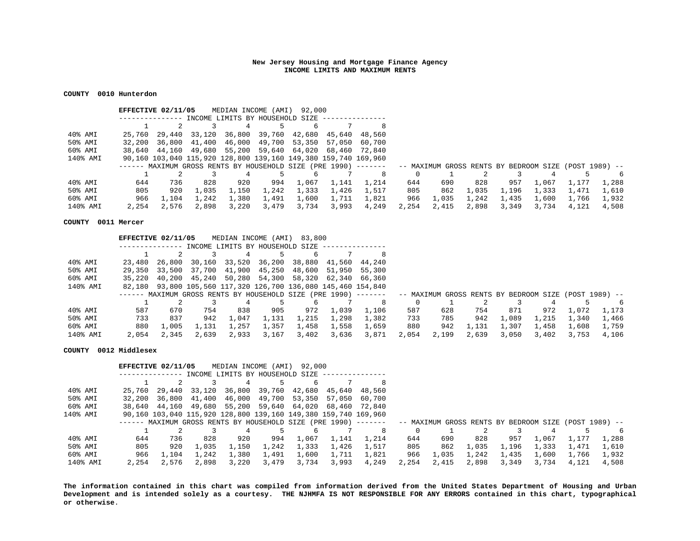## **COUNTY 0010 Hunterdon**

|                     | EFFECTIVE 02/11/05 |       |       | MEDIAN INCOME (AMI)             |       | 92,000                                                          |       |               |       |       |       |       |                                                       |       |       |
|---------------------|--------------------|-------|-------|---------------------------------|-------|-----------------------------------------------------------------|-------|---------------|-------|-------|-------|-------|-------------------------------------------------------|-------|-------|
|                     |                    |       |       | INCOME LIMITS BY HOUSEHOLD SIZE |       |                                                                 |       |               |       |       |       |       |                                                       |       |       |
|                     |                    |       |       |                                 |       |                                                                 |       |               |       |       |       |       |                                                       |       |       |
| $40\textdegree$ AMI | 25,760             |       |       |                                 |       | 29,440 33,120 36,800 39,760 42,680                              |       | 45,640 48,560 |       |       |       |       |                                                       |       |       |
| 50% AMI             |                    |       |       |                                 |       | 32,200 36,800 41,400 46,000 49,700 53,350                       |       | 57,050 60,700 |       |       |       |       |                                                       |       |       |
| 60% AMI             |                    |       |       |                                 |       | 38,640 44,160 49,680 55,200 59,640 64,020 68,460 72,840         |       |               |       |       |       |       |                                                       |       |       |
| 140% AMI            |                    |       |       |                                 |       | 90,160 103,040 115,920 128,800 139,160 149,380 159,740 169,960  |       |               |       |       |       |       |                                                       |       |       |
|                     |                    |       |       |                                 |       | ------ MAXIMUM GROSS RENTS BY HOUSEHOLD SIZE (PRE 1990) ------- |       |               |       |       |       |       | -- MAXIMUM GROSS RENTS BY BEDROOM SIZE (POST 1989) -- |       |       |
|                     |                    |       |       |                                 |       |                                                                 |       | 8             |       |       |       |       |                                                       |       | 6     |
| 40% AMI             | 644                | 736   | 828   | 920                             | 994   | 1,067                                                           | 1,141 | 1.214         | 644   | 690   | 828   | 957   | 1,067                                                 | 1.177 | 1,288 |
| 50% AMI             | 805                | 920   | 1,035 | 1,150                           | 1,242 | 1,333                                                           | 1,426 | 1,517         | 805   | 862   | 1,035 | 1,196 | 1,333                                                 | 1,471 | 1,610 |
| 60% AMI             | 966                | 1,104 | 1,242 | 1,380                           | 1,491 | 1,600                                                           | 1,711 | 1,821         | 966   | 1,035 | 1,242 | 1,435 | 1,600                                                 | 1,766 | 1,932 |
| 140% AMI            | 2,254              | 2,576 | 2,898 | 3,220                           | 3,479 | 3,734                                                           | 3,993 | 4,249         | 2,254 | 2,415 | 2,898 | 3,349 | 3,734                                                 | 4,121 | 4,508 |

#### **COUNTY 0011 Mercer**

|                            | EFFECTIVE 02/11/05 |               |       | MEDIAN INCOME (AMI)             |       | 83,800                                                               |       |                                                                                                                         |       |       |       |       |       |       |       |
|----------------------------|--------------------|---------------|-------|---------------------------------|-------|----------------------------------------------------------------------|-------|-------------------------------------------------------------------------------------------------------------------------|-------|-------|-------|-------|-------|-------|-------|
|                            |                    |               |       | INCOME LIMITS BY HOUSEHOLD SIZE |       |                                                                      |       |                                                                                                                         |       |       |       |       |       |       |       |
|                            |                    |               |       |                                 |       |                                                                      |       |                                                                                                                         |       |       |       |       |       |       |       |
| 40% AMI                    | 23,480             | 26,800        |       |                                 |       | 30,160 33,520 36,200 38,880                                          |       | 41,560 44,240                                                                                                           |       |       |       |       |       |       |       |
| 50% AMI                    |                    | 29,350 33,500 |       |                                 |       | 37,700 41,900 45,250 48,600                                          |       | 51,950 55,300                                                                                                           |       |       |       |       |       |       |       |
| 60% AMI                    | 35,220             |               |       |                                 |       | 40,200 45,240 50,280 54,300 58,320 62,340 66,360                     |       |                                                                                                                         |       |       |       |       |       |       |       |
| 140% AMI                   |                    |               |       |                                 |       | 82,180  93,800  105,560  117,320  126,700  136,080  145,460  154,840 |       |                                                                                                                         |       |       |       |       |       |       |       |
|                            |                    |               |       |                                 |       |                                                                      |       | ------ MAXIMUM GROSS RENTS BY HOUSEHOLD SIZE (PRE 1990) -------   -- MAXIMUM GROSS RENTS BY BEDROOM SIZE (POST 1989) -- |       |       |       |       |       |       |       |
|                            |                    |               |       |                                 |       |                                                                      |       | 8                                                                                                                       |       |       |       |       |       |       | -6    |
| $40\text{\textdegree}$ AMI | 587                | 670           | 754   | 838                             | 905   | 972                                                                  | 1,039 | 1,106                                                                                                                   | 587   | 628   | 754   | 871   | 972   | 1,072 | 1,173 |
| 50% AMI                    | 733                | 837           | 942   | 1,047                           | 1,131 | 1,215                                                                | 1,298 | 1,382                                                                                                                   | 733   | 785   | 942   | 1,089 | 1,215 | 1,340 | 1,466 |
| 60% AMI                    | 880                | 1,005         | 1,131 | 1,257                           | 1,357 | 1,458                                                                | 1,558 | 1,659                                                                                                                   | 880   | 942   | 1,131 | 1,307 | 1,458 | 1,608 | 1,759 |
| 140% AMI                   | 2,054              | 2,345         | 2,639 | 2,933                           | 3,167 | 3,402                                                                | 3,636 | 3,871                                                                                                                   | 2,054 | 2,199 | 2,639 | 3,050 | 3,402 | 3,753 | 4,106 |

## **COUNTY 0012 Middlesex**

|          |        | EFFECTIVE 02/11/05 |        | MEDIAN INCOME (AMI)             |       | 92,000                                                           |        |               |       |       |       |       |                                                       |       |       |
|----------|--------|--------------------|--------|---------------------------------|-------|------------------------------------------------------------------|--------|---------------|-------|-------|-------|-------|-------------------------------------------------------|-------|-------|
|          |        |                    |        | INCOME LIMITS BY HOUSEHOLD SIZE |       |                                                                  |        |               |       |       |       |       |                                                       |       |       |
|          |        |                    |        |                                 |       |                                                                  |        | 8             |       |       |       |       |                                                       |       |       |
| 40% AMI  | 25,760 | 29,440             | 33,120 | 36,800                          |       | 39,760 42,680                                                    |        | 45,640 48,560 |       |       |       |       |                                                       |       |       |
| 50% AMI  | 32,200 | 36,800             |        | 41,400 46,000                   |       | 49,700 53,350                                                    | 57.050 | 60.700        |       |       |       |       |                                                       |       |       |
| 60% AMI  |        |                    |        | 38,640 44,160 49,680 55,200     |       | 59,640 64,020                                                    |        | 68,460 72,840 |       |       |       |       |                                                       |       |       |
| 140% AMI |        |                    |        |                                 |       | 90,160 103,040 115,920 128,800 139,160 149,380 159,740 169,960   |        |               |       |       |       |       |                                                       |       |       |
|          |        |                    |        |                                 |       | $-----$ MAXIMUM GROSS RENTS BY HOUSEHOLD SIZE (PRE 1990) $-----$ |        |               |       |       |       |       | -- MAXIMUM GROSS RENTS BY BEDROOM SIZE (POST 1989) -- |       |       |
|          |        |                    |        |                                 |       |                                                                  |        | 8             |       |       |       |       |                                                       |       | 6     |
| 40% AMI  | 644    | 736                | 828    | 920                             | 994   | 1,067                                                            | 1,141  | 1,214         | 644   | 690   | 828   | 957   | 1,067                                                 | 1,177 | 1,288 |
| 50% AMI  | 805    | 920                | 1,035  | 1,150                           | 1,242 | 1,333                                                            | 1,426  | 1,517         | 805   | 862   | 1,035 | 1,196 | 1,333                                                 | 1,471 | 1,610 |
| 60% AMI  | 966    | 1,104              | 1,242  | 1,380                           | 1,491 | 1,600                                                            | 1,711  | 1,821         | 966   | 1,035 | 1,242 | 1,435 | 1,600                                                 | 1,766 | 1,932 |
| 140% AMI | 2,254  | 2,576              | 2,898  | 3,220                           | 3,479 | 3,734                                                            | 3,993  | 4,249         | 2,254 | 2,415 | 2,898 | 3,349 | 3,734                                                 | 4,121 | 4,508 |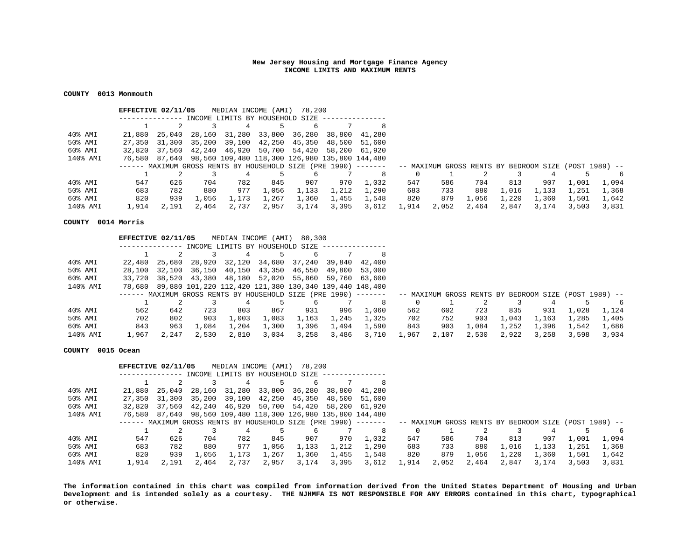## **COUNTY 0013 Monmouth**

|                     | EFFECTIVE 02/11/05 |        |       | MEDIAN INCOME (AMI)             |       | 78,200                                                          |       |               |       |       |       |       |                                                       |       |       |
|---------------------|--------------------|--------|-------|---------------------------------|-------|-----------------------------------------------------------------|-------|---------------|-------|-------|-------|-------|-------------------------------------------------------|-------|-------|
|                     |                    |        |       | INCOME LIMITS BY HOUSEHOLD SIZE |       |                                                                 |       |               |       |       |       |       |                                                       |       |       |
|                     |                    |        |       |                                 |       |                                                                 |       |               |       |       |       |       |                                                       |       |       |
| $40\textdegree$ AMI | 21,880 25,040      |        |       |                                 |       | 28,160 31,280 33,800 36,280                                     |       | 38,800 41,280 |       |       |       |       |                                                       |       |       |
| 50% AMI             |                    |        |       |                                 |       | 27,350 31,300 35,200 39,100 42,250 45,350                       |       | 48,500 51,600 |       |       |       |       |                                                       |       |       |
| 60% AMI             | 32,820             | 37,560 |       |                                 |       | 42,240 46,920 50,700 54,420                                     |       | 58,200 61,920 |       |       |       |       |                                                       |       |       |
| 140% AMI            |                    |        |       |                                 |       | 76,580 87,640 98,560 109,480 118,300 126,980 135,800 144,480    |       |               |       |       |       |       |                                                       |       |       |
|                     |                    |        |       |                                 |       | ------ MAXIMUM GROSS RENTS BY HOUSEHOLD SIZE (PRE 1990) ------- |       |               |       |       |       |       | -- MAXIMUM GROSS RENTS BY BEDROOM SIZE (POST 1989) -- |       |       |
|                     |                    |        |       |                                 |       |                                                                 |       | 8             |       |       |       |       |                                                       |       | 6     |
| 40% AMI             | 547                | 626    | 704   | 782                             | 845   | 907                                                             | 970   | 1.032         | 547   | 586   | 704   | 813   | 907                                                   | 1,001 | 1,094 |
| 50% AMI             | 683                | 782    | 880   | 977                             | 1,056 | 1,133                                                           | 1,212 | 1,290         | 683   | 733   | 880   | 1,016 | 1,133                                                 | 1,251 | 1,368 |
| 60% AMI             | 820                | 939    | 1,056 | 1,173                           | 1,267 | 1,360                                                           | 1,455 | 1,548         | 820   | 879   | 1,056 | 1,220 | 1,360                                                 | 1,501 | 1,642 |
| 140% AMI            | 1,914              | 2,191  | 2,464 | 2,737                           | 2,957 | 3,174                                                           | 3,395 | 3,612         | 1,914 | 2,052 | 2,464 | 2,847 | 3,174                                                 | 3,503 | 3,831 |

#### **COUNTY 0014 Morris**

|                            | EFFECTIVE 02/11/05 |       |       |                                 |       | MEDIAN INCOME (AMI) 80,300                                     |       |                                                                                                                         |       |       |       |       |       |       |       |
|----------------------------|--------------------|-------|-------|---------------------------------|-------|----------------------------------------------------------------|-------|-------------------------------------------------------------------------------------------------------------------------|-------|-------|-------|-------|-------|-------|-------|
|                            |                    |       |       | INCOME LIMITS BY HOUSEHOLD SIZE |       |                                                                |       |                                                                                                                         |       |       |       |       |       |       |       |
|                            |                    |       |       |                                 |       | 6                                                              |       | 8                                                                                                                       |       |       |       |       |       |       |       |
| 40% AMI                    |                    |       |       |                                 |       | 22,480  25,680  28,920  32,120  34,680  37,240  39,840  42,400 |       |                                                                                                                         |       |       |       |       |       |       |       |
| 50% AMI                    |                    |       |       |                                 |       | 28,100 32,100 36,150 40,150 43,350 46,550 49,800 53,000        |       |                                                                                                                         |       |       |       |       |       |       |       |
| 60% AMI                    | 33,720             |       |       |                                 |       | 38,520 43,380 48,180 52,020 55,860 59,760 63,600               |       |                                                                                                                         |       |       |       |       |       |       |       |
| 140% AMI                   |                    |       |       |                                 |       | 78,680 89,880 101,220 112,420 121,380 130,340 139,440 148,400  |       |                                                                                                                         |       |       |       |       |       |       |       |
|                            |                    |       |       |                                 |       |                                                                |       | ------ MAXIMUM GROSS RENTS BY HOUSEHOLD SIZE (PRE 1990) -------   -- MAXIMUM GROSS RENTS BY BEDROOM SIZE (POST 1989) -- |       |       |       |       |       |       |       |
|                            |                    |       |       |                                 |       |                                                                |       | 8                                                                                                                       |       |       |       |       |       |       | - 6   |
| $40\text{\textdegree}$ AMI | 562                | 642   | 723   | 803                             | 867   | 931                                                            | 996   | 1,060                                                                                                                   | 562   | 602   | 723   | 835   | 931   | 1,028 | 1,124 |
| 50% AMI                    | 702                | 802   | 903   | 1,003                           | 1,083 | 1,163                                                          | 1,245 | 1,325                                                                                                                   | 702   | 752   | 903   | 1,043 | 1,163 | 1,285 | 1,405 |
| 60% AMI                    | 843                | 963   | 1,084 | 1,204                           | 1,300 | 1,396                                                          | 1,494 | 1,590                                                                                                                   | 843   | 903   | 1,084 | 1,252 | 1,396 | 1,542 | 1,686 |
| 140% AMI                   | 1,967              | 2,247 | 2,530 | 2,810                           | 3,034 | 3,258                                                          | 3,486 | 3,710                                                                                                                   | 1,967 | 2,107 | 2,530 | 2,922 | 3,258 | 3,598 | 3,934 |

## **COUNTY 0015 Ocean**

|                            | EFFECTIVE 02/11/05 |               |       |                                 |       | MEDIAN INCOME (AMI) 78,200                                      |       |               |       |       |       |       |                                                       |       |       |
|----------------------------|--------------------|---------------|-------|---------------------------------|-------|-----------------------------------------------------------------|-------|---------------|-------|-------|-------|-------|-------------------------------------------------------|-------|-------|
|                            |                    |               |       | INCOME LIMITS BY HOUSEHOLD SIZE |       |                                                                 |       |               |       |       |       |       |                                                       |       |       |
|                            |                    |               |       | 4                               |       |                                                                 |       | 8             |       |       |       |       |                                                       |       |       |
| $40\textdegree$ AMI        | 21,880 25,040      |               |       |                                 |       | 28,160 31,280 33,800 36,280                                     |       | 38,800 41,280 |       |       |       |       |                                                       |       |       |
| 50% AMI                    |                    | 27,350 31,300 |       | 35,200 39,100                   |       | 42,250 45,350                                                   |       | 48,500 51,600 |       |       |       |       |                                                       |       |       |
| 60% AMI                    |                    | 32,820 37,560 |       |                                 |       | 42,240 46,920 50,700 54,420                                     |       | 58,200 61,920 |       |       |       |       |                                                       |       |       |
| 140% AMI                   |                    |               |       |                                 |       | 76,580 87,640 98,560 109,480 118,300 126,980 135,800 144,480    |       |               |       |       |       |       |                                                       |       |       |
|                            |                    |               |       |                                 |       | ------ MAXIMUM GROSS RENTS BY HOUSEHOLD SIZE (PRE 1990) ------- |       |               |       |       |       |       | -- MAXIMUM GROSS RENTS BY BEDROOM SIZE (POST 1989) -- |       |       |
|                            |                    |               |       |                                 |       |                                                                 |       | 8             |       |       |       |       |                                                       |       | 6     |
| $40\text{\textdegree}$ AMI | 547                | 626           | 704   | 782                             | 845   | 907                                                             | 970   | 1,032         | 547   | 586   | 704   | 813   | 907                                                   | 1,001 | 1,094 |
| 50% AMI                    | 683                | 782           | 880   | 977                             | 1,056 | 1,133                                                           | 1,212 | 1,290         | 683   | 733   | 880   | 1,016 | 1,133                                                 | 1,251 | 1,368 |
| 60% AMI                    | 820                | 939           | 1,056 | 1,173                           | 1,267 | 1,360                                                           | 1,455 | 1,548         | 820   | 879   | 1,056 | 1,220 | 1,360                                                 | 1,501 | 1,642 |
| 140% AMI                   | 1,914              | 2,191         | 2,464 | 2,737                           | 2,957 | 3,174                                                           | 3,395 | 3,612         | 1,914 | 2,052 | 2,464 | 2,847 | 3,174                                                 | 3.503 | 3,831 |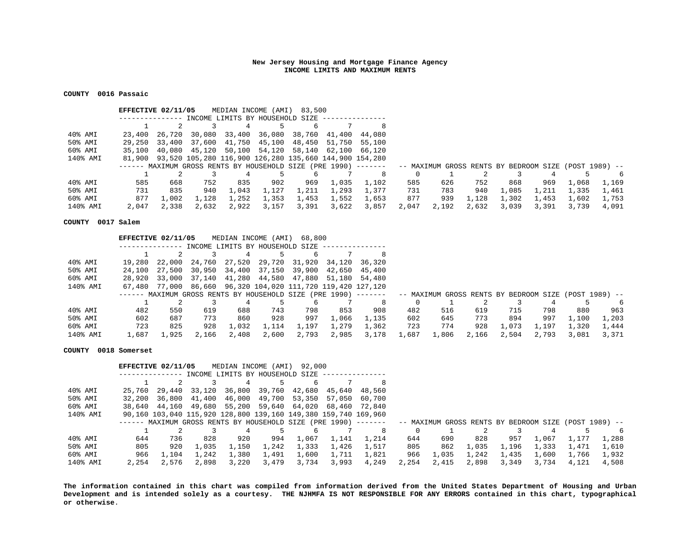## **COUNTY 0016 Passaic**

|          | EFFECTIVE 02/11/05 |               |       | MEDIAN INCOME (AMI)             |       | 83,500                                                               |       |                                                                                                                         |       |       |       |       |       |       |       |
|----------|--------------------|---------------|-------|---------------------------------|-------|----------------------------------------------------------------------|-------|-------------------------------------------------------------------------------------------------------------------------|-------|-------|-------|-------|-------|-------|-------|
|          |                    |               |       | INCOME LIMITS BY HOUSEHOLD SIZE |       |                                                                      |       |                                                                                                                         |       |       |       |       |       |       |       |
|          |                    |               |       |                                 |       |                                                                      |       | 8                                                                                                                       |       |       |       |       |       |       |       |
| 40% AMI  | 23,400             | 26,720        |       |                                 |       | 30,080 33,400 36,080 38,760 41,400 44,080                            |       |                                                                                                                         |       |       |       |       |       |       |       |
| 50% AMI  |                    | 29,250 33,400 |       |                                 |       | 37,600 41,750 45,100 48,450                                          |       | 51,750 55,100                                                                                                           |       |       |       |       |       |       |       |
| 60% AMI  | 35,100             |               |       |                                 |       | 40,080 45,120 50,100 54,120 58,140 62,100 66,120                     |       |                                                                                                                         |       |       |       |       |       |       |       |
| 140% AMI |                    |               |       |                                 |       | 81,900  93,520  105,280  116,900  126,280  135,660  144,900  154,280 |       |                                                                                                                         |       |       |       |       |       |       |       |
|          |                    |               |       |                                 |       |                                                                      |       | ------ MAXIMUM GROSS RENTS BY HOUSEHOLD SIZE (PRE 1990) -------   -- MAXIMUM GROSS RENTS BY BEDROOM SIZE (POST 1989) -- |       |       |       |       |       |       |       |
|          |                    |               |       |                                 |       |                                                                      |       | 8                                                                                                                       |       |       |       |       |       |       | 6     |
| 40% AMI  | 585                | 668           | 752   | 835                             | 902   | 969                                                                  | 1,035 | 1,102                                                                                                                   | 585   | 626   | 752   | 868   | 969   | 1,068 | 1,169 |
| 50% AMI  | 731                | 835           | 940   | 1,043                           | 1,127 | 1,211                                                                | 1,293 | 1,377                                                                                                                   | 731   | 783   | 940   | 1,085 | 1,211 | 1,335 | 1,461 |
| 60% AMI  | 877                | 1,002         | 1,128 | 1,252                           | 1,353 | 1,453                                                                | 1,552 | 1,653                                                                                                                   | 877   | 939   | 1,128 | 1,302 | 1,453 | 1,602 | 1,753 |
| 140% AMI | 2,047              | 2,338         | 2,632 | 2,922                           | 3,157 | 3,391                                                                | 3,622 | 3,857                                                                                                                   | 2,047 | 2,192 | 2,632 | 3,039 | 3,391 | 3,739 | 4,091 |

## **COUNTY 0017 Salem**

|                            | EFFECTIVE 02/11/05 |        |       |       |       | MEDIAN INCOME (AMI) 68,800                                  |       |                                                                                                                         |       |       |       |       |       |       |       |
|----------------------------|--------------------|--------|-------|-------|-------|-------------------------------------------------------------|-------|-------------------------------------------------------------------------------------------------------------------------|-------|-------|-------|-------|-------|-------|-------|
|                            |                    |        |       |       |       | INCOME LIMITS BY HOUSEHOLD SIZE                             |       |                                                                                                                         |       |       |       |       |       |       |       |
|                            |                    |        |       |       |       |                                                             |       |                                                                                                                         |       |       |       |       |       |       |       |
| 40% AMI                    | 19,280             | 22,000 |       |       |       | 24,760 27,520 29,720 31,920                                 |       | 34,120 36,320                                                                                                           |       |       |       |       |       |       |       |
| 50% AMI                    | 24,100             | 27,500 |       |       |       | 30,950 34,400 37,150 39,900                                 |       | 42,650 45,400                                                                                                           |       |       |       |       |       |       |       |
| 60% AMI                    | 28,920             | 33,000 |       |       |       | 37,140 41,280 44,580 47,880                                 |       | 51,180 54,480                                                                                                           |       |       |       |       |       |       |       |
| 140% AMI                   |                    |        |       |       |       | 67,480 77,000 86,660 96,320 104,020 111,720 119,420 127,120 |       |                                                                                                                         |       |       |       |       |       |       |       |
|                            |                    |        |       |       |       |                                                             |       | ------ MAXIMUM GROSS RENTS BY HOUSEHOLD SIZE (PRE 1990) -------   -- MAXIMUM GROSS RENTS BY BEDROOM SIZE (POST 1989) -- |       |       |       |       |       |       |       |
|                            |                    |        |       |       |       |                                                             |       | 8                                                                                                                       |       |       |       |       |       |       | 6     |
| $40\text{\textdegree}$ AMI | 482                | 550    | 619   | 688   | 743   | 798                                                         | 853   | 908                                                                                                                     | 482   | 516   | 619   | 715   | 798   | 880   | 963   |
| 50% AMI                    | 602                | 687    | 773   | 860   | 928   | 997                                                         | 1,066 | 1,135                                                                                                                   | 602   | 645   | 773   | 894   | 997   | 1,100 | 1,203 |
| 60% AMI                    | 723                | 825    | 928   | 1,032 | 1,114 | 1,197                                                       | 1,279 | 1,362                                                                                                                   | 723   | 774   | 928   | 1,073 | 1,197 | 1,320 | 1,444 |
| 140% AMI                   | 1,687              | 1,925  | 2,166 | 2,408 | 2,600 | 2,793                                                       | 2,985 | 3,178                                                                                                                   | 1,687 | 1,806 | 2,166 | 2,504 | 2,793 | 3,081 | 3,371 |

#### **COUNTY 0018 Somerset**

|          | EFFECTIVE 02/11/05 |        |       |                                 |       | MEDIAN INCOME (AMI) 92,000                                     |        |                                                                                                                        |       |       |       |       |       |       |       |
|----------|--------------------|--------|-------|---------------------------------|-------|----------------------------------------------------------------|--------|------------------------------------------------------------------------------------------------------------------------|-------|-------|-------|-------|-------|-------|-------|
|          |                    |        |       | INCOME LIMITS BY HOUSEHOLD SIZE |       |                                                                |        |                                                                                                                        |       |       |       |       |       |       |       |
|          |                    |        |       | 4                               |       |                                                                |        | 8                                                                                                                      |       |       |       |       |       |       |       |
| 40% AMI  | 25,760             | 29,440 |       | 33,120 36,800                   |       | 39,760 42,680                                                  |        | 45,640 48,560                                                                                                          |       |       |       |       |       |       |       |
| 50% AMI  | 32,200             | 36,800 |       | 41,400 46,000                   |       | 49,700 53,350                                                  | 57,050 | 60,700                                                                                                                 |       |       |       |       |       |       |       |
| 60% AMI  |                    |        |       |                                 |       | 38,640 44,160 49,680 55,200 59,640 64,020                      |        | 68,460 72,840                                                                                                          |       |       |       |       |       |       |       |
| 140% AMI |                    |        |       |                                 |       | 90,160 103,040 115,920 128,800 139,160 149,380 159,740 169,960 |        |                                                                                                                        |       |       |       |       |       |       |       |
|          |                    |        |       |                                 |       |                                                                |        | ------ MAXIMUM GROSS RENTS BY HOUSEHOLD SIZE (PRE 1990) ------- - - MAXIMUM GROSS RENTS BY BEDROOM SIZE (POST 1989) -- |       |       |       |       |       |       |       |
|          |                    |        |       |                                 |       |                                                                |        | 8                                                                                                                      |       |       |       |       |       |       | 6     |
| 40% AMI  | 644                | 736    | 828   | 920                             | 994   | 1,067                                                          | 1,141  | 1,214                                                                                                                  | 644   | 690   | 828   | 957   | 1,067 | 1,177 | 1,288 |
| 50% AMI  | 805                | 920    | 1,035 | 1,150                           | 1,242 | 1,333                                                          | 1,426  | 1,517                                                                                                                  | 805   | 862   | 1,035 | 1,196 | 1,333 | 1,471 | 1,610 |
| 60% AMI  | 966                | 1,104  | 1,242 | 1,380                           | 1,491 | 1,600                                                          | 1,711  | 1,821                                                                                                                  | 966   | 1,035 | 1,242 | 1,435 | 1,600 | 1,766 | 1,932 |
| 140% AMI | 2,254              | 2,576  | 2,898 | 3,220                           | 3,479 | 3,734                                                          | 3,993  | 4,249                                                                                                                  | 2,254 | 2,415 | 2,898 | 3,349 | 3,734 | 4,121 | 4,508 |